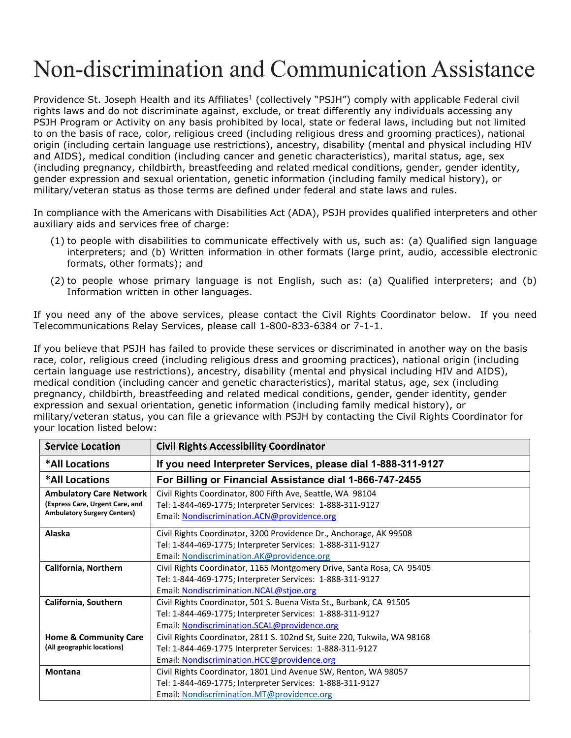## Non-discrimination and Communication Assistance

Providence St. Joseph Health and its Affiliates<sup>1</sup> (collectively "PSJH") comply with applicable Federal civil rights laws and do not discriminate against, exclude, or treat differently any individuals accessing any PSJH Program or Activity on any basis prohibited by local, state or federal laws, including but not limited to on the basis of race, color, religious creed (including religious dress and grooming practices), national origin (including certain language use restrictions), ancestry, disability (mental and physical including HIV and AIDS), medical condition (including cancer and genetic characteristics), marital status, age, sex (including pregnancy, childbirth, breastfeeding and related medical conditions, gender, gender identity, gender expression and sexual orientation, genetic information (including family medical history), or military/veteran status as those terms are defined under federal and state laws and rules.

In compliance with the Americans with Disabilities Act (ADA), PSJH provides qualified interpreters and other auxiliary aids and services free of charge:

- (1) to people with disabilities to communicate effectively with us, such as: (a) Qualified sign language interpreters; and (b) Written information in other formats (large print, audio, accessible electronic formats, other formats); and
- (2) to people whose primary language is not English, such as: (a) Qualified interpreters; and (b) Information written in other languages.

If you need any of the above services, please contact the Civil Rights Coordinator below. If you need Telecommunications Relay Services, please call 1-800-833-6384 or 7-1-1.

If you believe that PSJH has failed to provide these services or discriminated in another way on the basis race, color, religious creed (including religious dress and grooming practices), national origin (including certain language use restrictions), ancestry, disability (mental and physical including HIV and AIDS), medical condition (including cancer and genetic characteristics), marital status, age, sex (including pregnancy, childbirth, breastfeeding and related medical conditions, gender, gender identity, gender expression and sexual orientation, genetic information (including family medical history), or military/veteran status, you can file a grievance with PSJH by contacting the Civil Rights Coordinator for your location listed below:

| <b>Service Location</b>                                                                                 | <b>Civil Rights Accessibility Coordinator</b>                                                                                                                                       |
|---------------------------------------------------------------------------------------------------------|-------------------------------------------------------------------------------------------------------------------------------------------------------------------------------------|
| *All Locations                                                                                          | If you need Interpreter Services, please dial 1-888-311-9127                                                                                                                        |
| *All Locations                                                                                          | For Billing or Financial Assistance dial 1-866-747-2455                                                                                                                             |
| <b>Ambulatory Care Network</b><br>(Express Care, Urgent Care, and<br><b>Ambulatory Surgery Centers)</b> | Civil Rights Coordinator, 800 Fifth Ave, Seattle, WA 98104<br>Tel: 1-844-469-1775; Interpreter Services: 1-888-311-9127<br>Email: Nondiscrimination.ACN@providence.org              |
| Alaska                                                                                                  | Civil Rights Coordinator, 3200 Providence Dr., Anchorage, AK 99508<br>Tel: 1-844-469-1775; Interpreter Services: 1-888-311-9127<br>Email: Nondiscrimination.AK@providence.org       |
| California, Northern                                                                                    | Civil Rights Coordinator, 1165 Montgomery Drive, Santa Rosa, CA 95405<br>Tel: 1-844-469-1775; Interpreter Services: 1-888-311-9127<br>Email: Nondiscrimination.NCAL@stjoe.org       |
| California, Southern                                                                                    | Civil Rights Coordinator, 501 S. Buena Vista St., Burbank, CA 91505<br>Tel: 1-844-469-1775; Interpreter Services: 1-888-311-9127<br>Email: Nondiscrimination.SCAL@providence.org    |
| <b>Home &amp; Community Care</b><br>(All geographic locations)                                          | Civil Rights Coordinator, 2811 S. 102nd St, Suite 220, Tukwila, WA 98168<br>Tel: 1-844-469-1775 Interpreter Services: 1-888-311-9127<br>Email: Nondiscrimination.HCC@providence.org |
| <b>Montana</b>                                                                                          | Civil Rights Coordinator, 1801 Lind Avenue SW, Renton, WA 98057<br>Tel: 1-844-469-1775; Interpreter Services: 1-888-311-9127<br>Email: Nondiscrimination.MT@providence.org          |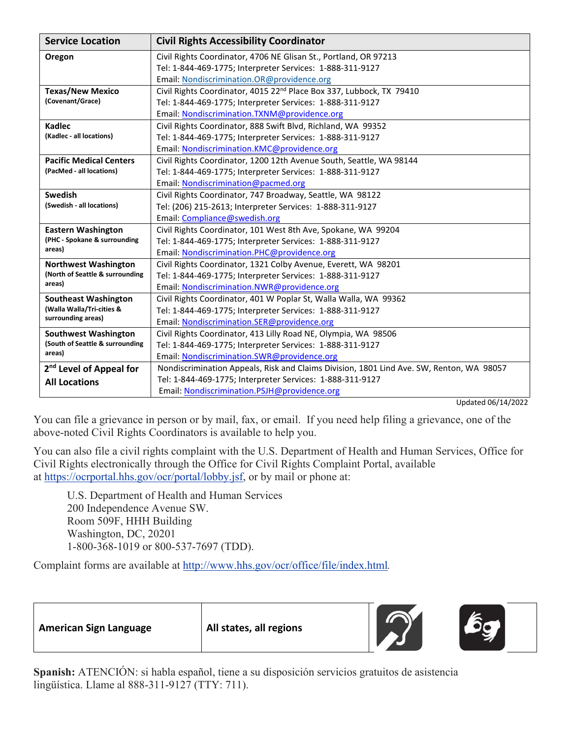| <b>Service Location</b>                                                        | <b>Civil Rights Accessibility Coordinator</b>                                            |
|--------------------------------------------------------------------------------|------------------------------------------------------------------------------------------|
| Oregon                                                                         | Civil Rights Coordinator, 4706 NE Glisan St., Portland, OR 97213                         |
|                                                                                | Tel: 1-844-469-1775; Interpreter Services: 1-888-311-9127                                |
|                                                                                | Email: Nondiscrimination.OR@providence.org                                               |
| <b>Texas/New Mexico</b><br>(Covenant/Grace)                                    | Civil Rights Coordinator, 4015 22 <sup>nd</sup> Place Box 337, Lubbock, TX 79410         |
|                                                                                | Tel: 1-844-469-1775; Interpreter Services: 1-888-311-9127                                |
|                                                                                | Email: Nondiscrimination.TXNM@providence.org                                             |
| Kadlec                                                                         | Civil Rights Coordinator, 888 Swift Blvd, Richland, WA 99352                             |
| (Kadlec - all locations)                                                       | Tel: 1-844-469-1775; Interpreter Services: 1-888-311-9127                                |
|                                                                                | Email: Nondiscrimination.KMC@providence.org                                              |
| <b>Pacific Medical Centers</b>                                                 | Civil Rights Coordinator, 1200 12th Avenue South, Seattle, WA 98144                      |
| (PacMed - all locations)                                                       | Tel: 1-844-469-1775; Interpreter Services: 1-888-311-9127                                |
|                                                                                | Email: Nondiscrimination@pacmed.org                                                      |
| Swedish<br>(Swedish - all locations)                                           | Civil Rights Coordinator, 747 Broadway, Seattle, WA 98122                                |
|                                                                                | Tel: (206) 215-2613; Interpreter Services: 1-888-311-9127                                |
|                                                                                | Email: Compliance@swedish.org                                                            |
| <b>Eastern Washington</b><br>(PHC - Spokane & surrounding                      | Civil Rights Coordinator, 101 West 8th Ave, Spokane, WA 99204                            |
|                                                                                | Tel: 1-844-469-1775; Interpreter Services: 1-888-311-9127                                |
| areas)                                                                         | Email: Nondiscrimination.PHC@providence.org                                              |
| <b>Northwest Washington</b>                                                    | Civil Rights Coordinator, 1321 Colby Avenue, Everett, WA 98201                           |
| (North of Seattle & surrounding                                                | Tel: 1-844-469-1775; Interpreter Services: 1-888-311-9127                                |
| areas)                                                                         | Email: Nondiscrimination.NWR@providence.org                                              |
| <b>Southeast Washington</b><br>(Walla Walla/Tri-cities &<br>surrounding areas) | Civil Rights Coordinator, 401 W Poplar St, Walla Walla, WA 99362                         |
|                                                                                | Tel: 1-844-469-1775; Interpreter Services: 1-888-311-9127                                |
|                                                                                | Email: Nondiscrimination.SER@providence.org                                              |
| <b>Southwest Washington</b><br>(South of Seattle & surrounding<br>areas)       | Civil Rights Coordinator, 413 Lilly Road NE, Olympia, WA 98506                           |
|                                                                                | Tel: 1-844-469-1775; Interpreter Services: 1-888-311-9127                                |
|                                                                                | Email: Nondiscrimination.SWR@providence.org                                              |
| 2 <sup>nd</sup> Level of Appeal for                                            | Nondiscrimination Appeals, Risk and Claims Division, 1801 Lind Ave. SW, Renton, WA 98057 |
| <b>All Locations</b>                                                           | Tel: 1-844-469-1775; Interpreter Services: 1-888-311-9127                                |
|                                                                                | Email: Nondiscrimination.PSJH@providence.org                                             |

Updated 06/14/2022

You can file a grievance in person or by mail, fax, or email. If you need help filing a grievance, one of the above-noted Civil Rights Coordinators is available to help you.

You can also file a civil rights complaint with the U.S. Department of Health and Human Services, Office for Civil Rights electronically through the Office for Civil Rights Complaint Portal, available at [https://ocrportal.hhs.gov/ocr/portal/lobby.jsf,](https://ocrportal.hhs.gov/ocr/portal/lobby.jsf) or by mail or phone at:

U.S. Department of Health and Human Services 200 Independence Avenue SW. Room 509F, HHH Building Washington, DC, 20201 1-800-368-1019 or 800-537-7697 (TDD).

Complaint forms are available at <http://www.hhs.gov/ocr/office/file/index.html>*.*

**American Sign Language All states, all regions**





**Spanish:** ATENCIÓN: si habla español, tiene a su disposición servicios gratuitos de asistencia lingüística. Llame al 888-311-9127 (TTY: 711).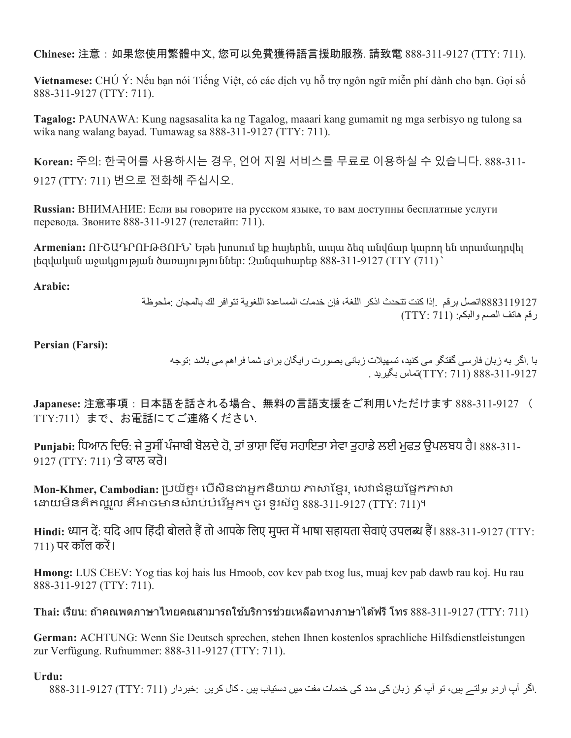**Chinese:** 注意:如果您使用繁體中文, 您可以免費獲得語言援助服務. 請致電 888-311-9127 (TTY: 711).

**Vietnamese:** CHÚ Ý: Nếu bạn nói Tiếng Việt, có các dịch vụ hỗ trợ ngôn ngữ miễn phí dành cho bạn. Gọi số 888-311-9127 (TTY: 711).

**Tagalog:** PAUNAWA: Kung nagsasalita ka ng Tagalog, maaari kang gumamit ng mga serbisyo ng tulong sa wika nang walang bayad. Tumawag sa 888-311-9127 (TTY: 711).

**Korean:** 주의: 한국어를 사용하시는 경우, 언어 지원 서비스를 무료로 이용하실 수 있습니다. 888-311- 9127 (TTY: 711) 번으로 전화해 주십시오.

**Russian:** ВНИМАНИЕ: Если вы говорите на русском языке, то вам доступны бесплатные услуги перевода. Звоните 888-311-9127 (телетайп: 711).

**Armenian:** ՈՒՇԱԴՐՈՒԹՅՈՒՆ՝ Եթե խոսում եք հայերեն, ապա ձեզ անվճար կարող են տրամադրվել լեզվական աջակցության ծառայություններ: Զանգահարեք 888-311-9127 (TTY (711) ՝

**Arabic:**

8883119127اتصل برقم .إذا كنت تتحدث اذكر اللغة، فإن خدمات المساعدة اللغویة تتوافر لك بالمجان :ملحوظة رقم هاتف الصم والبكم: (TTY: 711)

**Persian (Farsi):**

با .اگر بھ زبان فارسی گفتگو می کنید، تسھیلات زبانی بصورت رایگان برای شما فراھم می باشد :توجھ 888-311-9127 (711 :TTY(تماس بگیرید .

**Japanese:** 注意事項:日本語を話される場合、無料の言語支援をご利用いただけます 888-311-9127 ( TTY:711)まで、お電話にてご連絡ください.

**Punjabi:** ਿਧਆਨ ਿਦਓ: ਜੇਤੁਸੀ ਂਪੰਜਾਬੀ ਬੋਲਦੇਹੋ, ਤਾਂਭਾਸ਼ਾ ਿਵੱਚ ਸਹਾਇਤਾ ਸੇਵਾ ਤੁਹਾਡੇਲਈ ਮੁਫਤ ਉਪਲਬਧ ਹੈ। 888-311- 9127 (TTY: 711) 'ਤੇ ਕਾਲ ਕਰੋ।

 $Mon-Khmer, Cambodian:$  ប្រយ័ត្ន៖ បើសិនជាអ្នកនិយាយ ភាសាខ្មែរ, សេវាជំនួយផ្នែកភាសា ងោយមិនគិតឈ្អុល គឺអាចមានសំរាប់បំរើអ្នក។ ចូរ ទូរស័ព្ទ 888-311-9127 (TTY: 711)។

Hindi: ध्यान दें: यदि आप हिंदी बोलते हैं तो आपके लिए मुफ्त में भाषा सहायता सेवाएं उपलब्ध हैं। 888-311-9127 (TTY:  $711$ ) पर कॉल करें।

**Hmong:** LUS CEEV: Yog tias koj hais lus Hmoob, cov kev pab txog lus, muaj kev pab dawb rau koj. Hu rau 888-311-9127 (TTY: 711).

Thai: เรียน: ถ้าคณพดภาษาไทยคณสามารถใช้บริการช่วยเหลือทางภาษาได*้*ฟรี โทร 888-311-9127 (TTY: 711)

**German:** ACHTUNG: Wenn Sie Deutsch sprechen, stehen Ihnen kostenlos sprachliche Hilfsdienstleistungen zur Verfügung. Rufnummer: 888-311-9127 (TTY: 711).

## **Urdu:**

.اگر آپ اردو بولتے ہیں، تو آپ کو زبان کی مدد کی خدمات مفت میں دستیاب ہیں ۔ کال کریں :خبردار (711 :TTY (888-311-9127